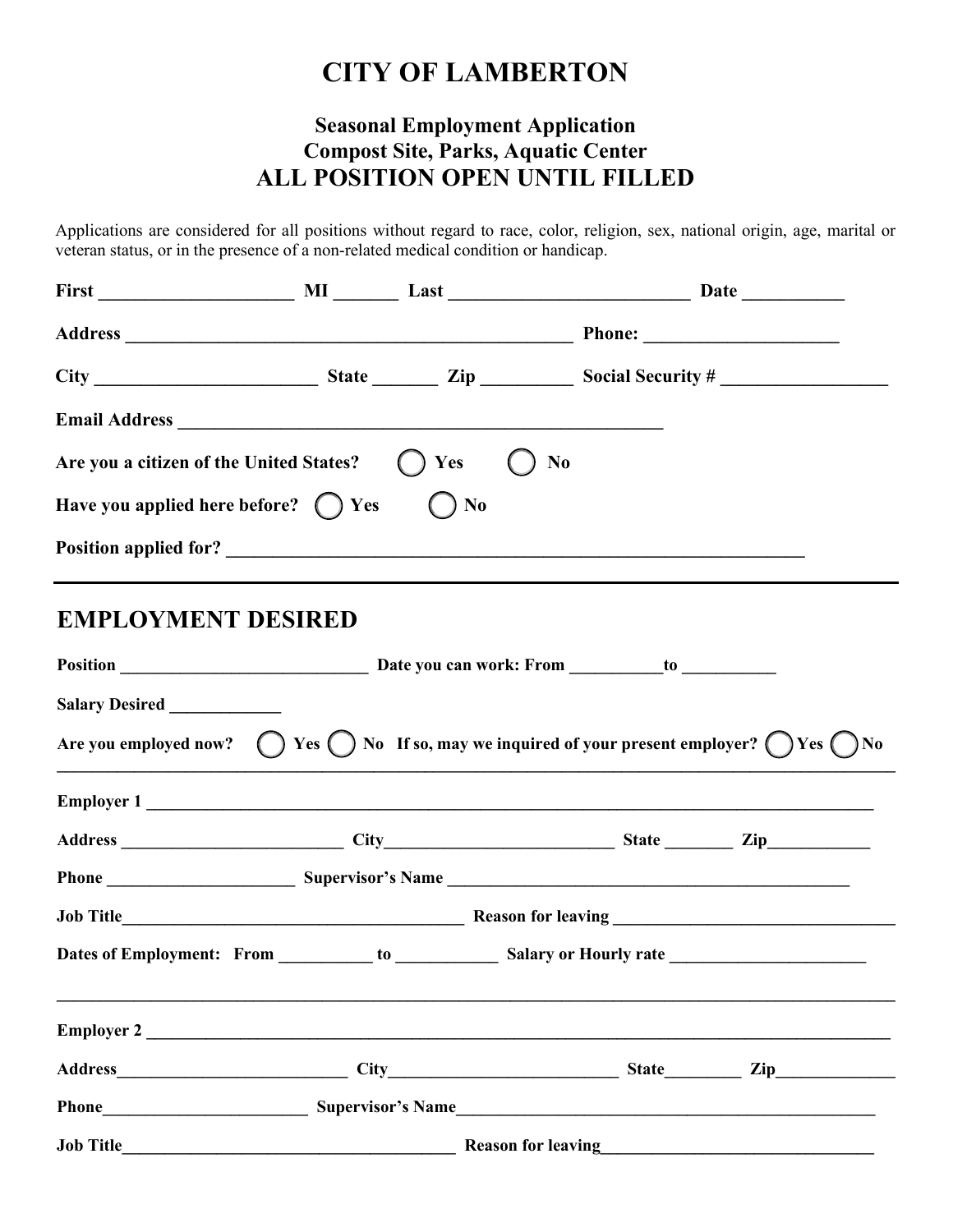## **CITY OF LAMBERTON**

## **Seasonal Employment Application Compost Site, Parks, Aquatic Center ALL POSITION OPEN UNTIL FILLED**

Applications are considered for all positions without regard to race, color, religion, sex, national origin, age, marital or veteran status, or in the presence of a non-related medical condition or handicap.

| <b>Email Address</b>                           |         |                                                                                                                                  |
|------------------------------------------------|---------|----------------------------------------------------------------------------------------------------------------------------------|
| Are you a citizen of the United States? () Yes |         | N <sub>0</sub>                                                                                                                   |
| Have you applied here before? $\bigcap$ Yes    | $()$ No |                                                                                                                                  |
|                                                |         |                                                                                                                                  |
| <b>EMPLOYMENT DESIRED</b>                      |         |                                                                                                                                  |
|                                                |         |                                                                                                                                  |
| Salary Desired ____________                    |         |                                                                                                                                  |
|                                                |         | Are you employed now? $\bigcirc$ Yes $\bigcirc$ No If so, may we inquired of your present employer? $\bigcirc$ Yes $\bigcirc$ No |
|                                                |         | <b>Employer 1</b>                                                                                                                |
|                                                |         |                                                                                                                                  |
|                                                |         |                                                                                                                                  |
|                                                |         |                                                                                                                                  |
|                                                |         |                                                                                                                                  |
| Employer 2                                     |         |                                                                                                                                  |
|                                                |         |                                                                                                                                  |
|                                                |         |                                                                                                                                  |
|                                                |         |                                                                                                                                  |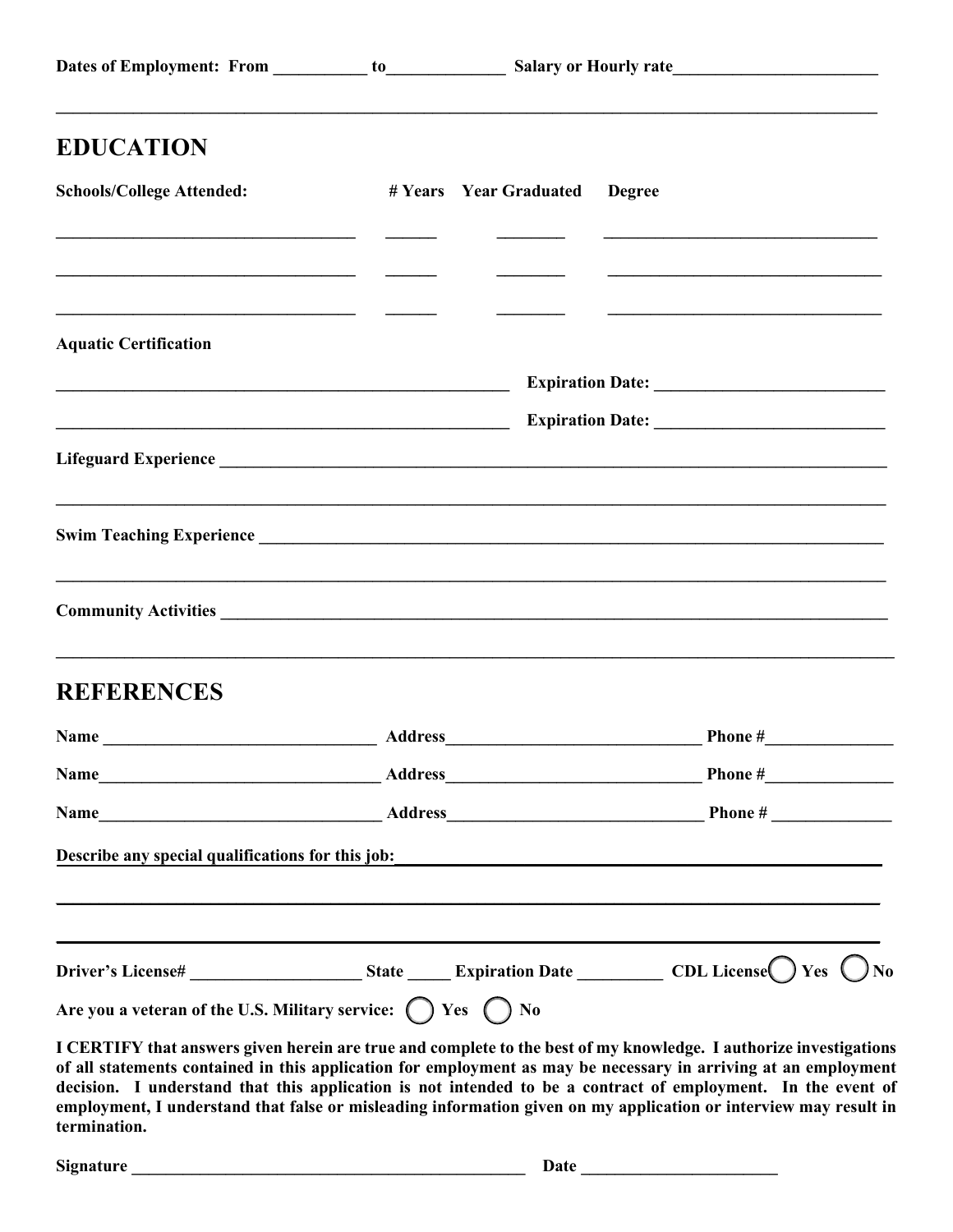| <b>EDUCATION</b>                                                                                                                                                                                                                |                               |                                                                                                                                                                                                                                                                                                                                                                                                                                                                          |
|---------------------------------------------------------------------------------------------------------------------------------------------------------------------------------------------------------------------------------|-------------------------------|--------------------------------------------------------------------------------------------------------------------------------------------------------------------------------------------------------------------------------------------------------------------------------------------------------------------------------------------------------------------------------------------------------------------------------------------------------------------------|
| <b>Schools/College Attended:</b>                                                                                                                                                                                                | # Years Year Graduated Degree |                                                                                                                                                                                                                                                                                                                                                                                                                                                                          |
|                                                                                                                                                                                                                                 |                               |                                                                                                                                                                                                                                                                                                                                                                                                                                                                          |
| <u> 1980 - Jan Barnett, fransk politik (d. 1980)</u><br><b>Aquatic Certification</b>                                                                                                                                            |                               |                                                                                                                                                                                                                                                                                                                                                                                                                                                                          |
|                                                                                                                                                                                                                                 |                               |                                                                                                                                                                                                                                                                                                                                                                                                                                                                          |
|                                                                                                                                                                                                                                 |                               |                                                                                                                                                                                                                                                                                                                                                                                                                                                                          |
|                                                                                                                                                                                                                                 |                               |                                                                                                                                                                                                                                                                                                                                                                                                                                                                          |
|                                                                                                                                                                                                                                 |                               |                                                                                                                                                                                                                                                                                                                                                                                                                                                                          |
|                                                                                                                                                                                                                                 |                               | ,我们也不能在这里的时候,我们也不能在这里的时候,我们也不能在这里的时候,我们也不能会在这里的时候,我们也不能会在这里的时候,我们也不能会在这里的时候,我们也不能                                                                                                                                                                                                                                                                                                                                                                                        |
| <b>REFERENCES</b>                                                                                                                                                                                                               |                               |                                                                                                                                                                                                                                                                                                                                                                                                                                                                          |
|                                                                                                                                                                                                                                 |                               |                                                                                                                                                                                                                                                                                                                                                                                                                                                                          |
|                                                                                                                                                                                                                                 |                               |                                                                                                                                                                                                                                                                                                                                                                                                                                                                          |
|                                                                                                                                                                                                                                 |                               |                                                                                                                                                                                                                                                                                                                                                                                                                                                                          |
| Describe any special qualifications for this job:<br>experience and the special contract of the special contract of the special contract of the special contract of the special contract of the special contract of the special |                               |                                                                                                                                                                                                                                                                                                                                                                                                                                                                          |
|                                                                                                                                                                                                                                 |                               |                                                                                                                                                                                                                                                                                                                                                                                                                                                                          |
|                                                                                                                                                                                                                                 |                               | Driver's License# _______________________State ________Expiration Date ___________ CDL License ___________ Yes _____No                                                                                                                                                                                                                                                                                                                                                   |
| Are you a veteran of the U.S. Military service: $\bigcap$ Yes $\bigcap$ No                                                                                                                                                      |                               |                                                                                                                                                                                                                                                                                                                                                                                                                                                                          |
| termination.                                                                                                                                                                                                                    |                               | I CERTIFY that answers given herein are true and complete to the best of my knowledge. I authorize investigations<br>of all statements contained in this application for employment as may be necessary in arriving at an employment<br>decision. I understand that this application is not intended to be a contract of employment. In the event of<br>employment, I understand that false or misleading information given on my application or interview may result in |
| <b>Signature</b>                                                                                                                                                                                                                | Date                          |                                                                                                                                                                                                                                                                                                                                                                                                                                                                          |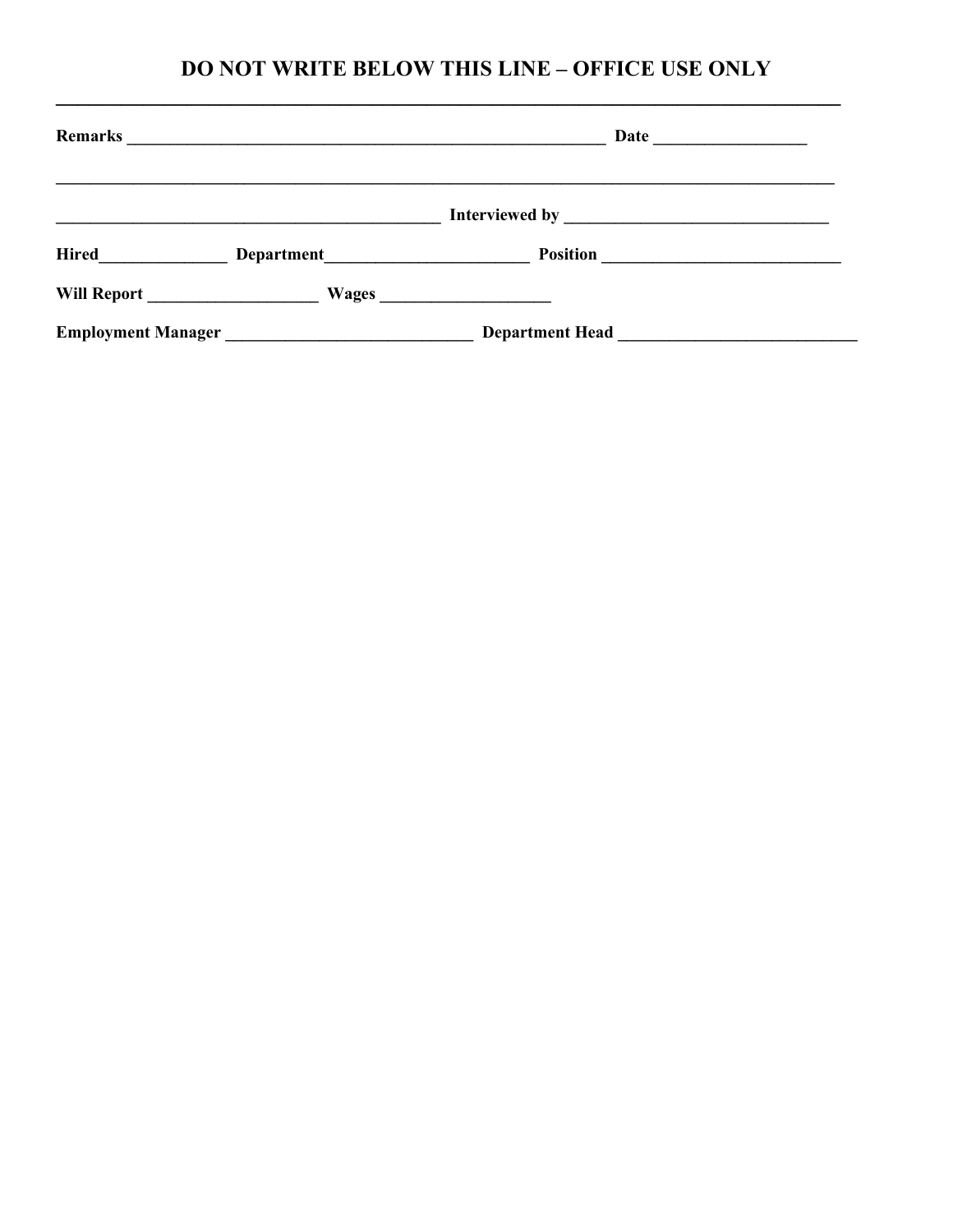## DO NOT WRITE BELOW THIS LINE - OFFICE USE ONLY

| Remarks                   |                                                                                                                      | Date $\qquad \qquad \qquad$                                 |  |  |
|---------------------------|----------------------------------------------------------------------------------------------------------------------|-------------------------------------------------------------|--|--|
|                           |                                                                                                                      |                                                             |  |  |
| <b>Hired</b>              | Department                                                                                                           |                                                             |  |  |
| Will Report               |                                                                                                                      |                                                             |  |  |
| <b>Employment Manager</b> | <u> 1989 - Johann Barbara, martin din shekara 1989 - Amerikaan kanaan samanin samanin samanin samanin samanin sa</u> | Department Head Learner and Learner and Learner and Learner |  |  |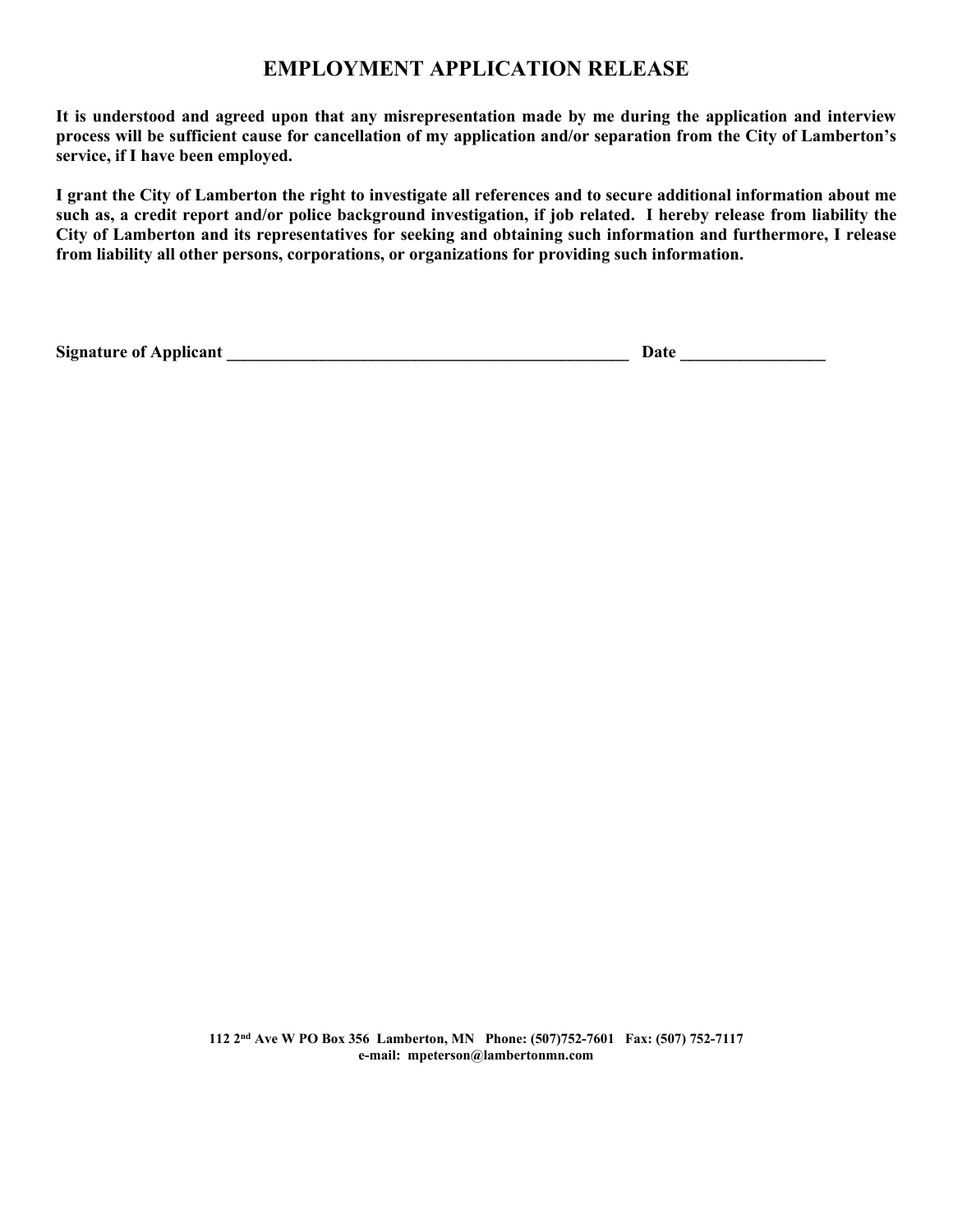### **EMPLOYMENT APPLICATION RELEASE**

**It is understood and agreed upon that any misrepresentation made by me during the application and interview process will be sufficient cause for cancellation of my application and/or separation from the City of Lamberton's service, if I have been employed.**

**I grant the City of Lamberton the right to investigate all references and to secure additional information about me such as, a credit report and/or police background investigation, if job related. I hereby release from liability the City of Lamberton and its representatives for seeking and obtaining such information and furthermore, I release from liability all other persons, corporations, or organizations for providing such information.** 

**Signature of Applicant \_\_\_\_\_\_\_\_\_\_\_\_\_\_\_\_\_\_\_\_\_\_\_\_\_\_\_\_\_\_\_\_\_\_\_\_\_\_\_\_\_\_\_\_\_\_\_ Date \_\_\_\_\_\_\_\_\_\_\_\_\_\_\_\_\_**